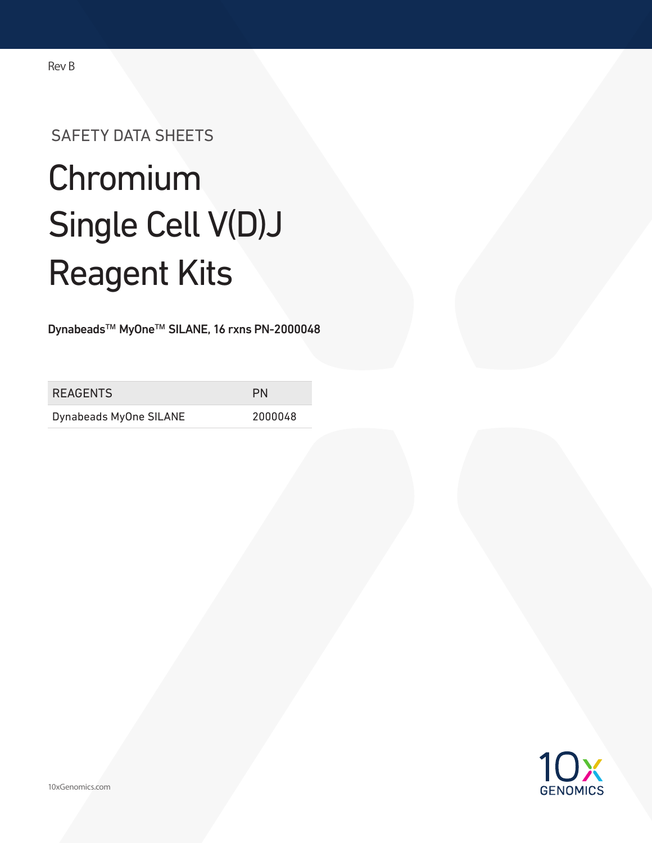# SAFETY DATA SHEETS

# Chromium Single Cell V(D)J Reagent Kits

Dynabeads™ MyOne™ SILANE, 16 rxns PN-2000048

| <b>REAGENTS</b>        | PN      |
|------------------------|---------|
| Dynabeads MyOne SILANE | 2000048 |

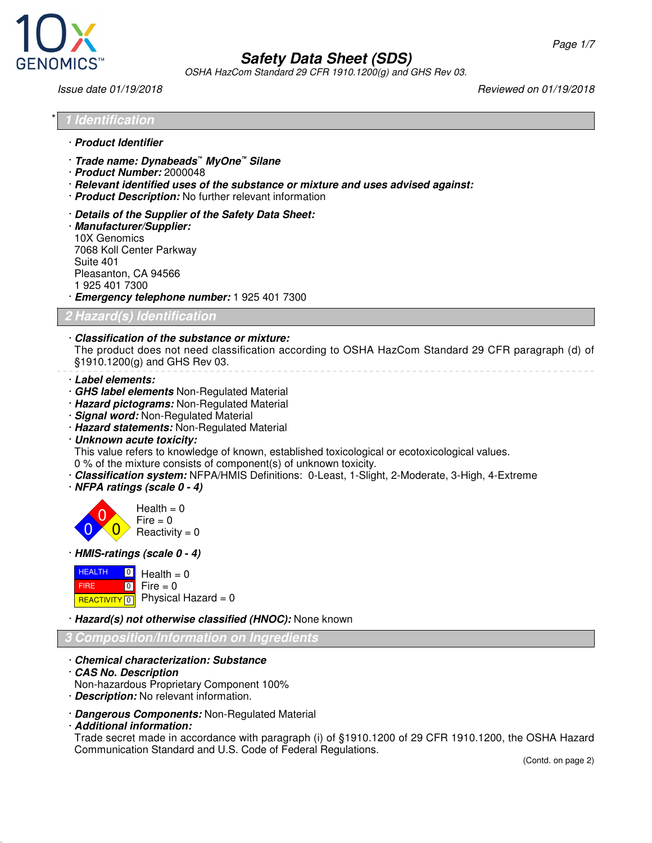

OSHA HazCom Standard 29 CFR 1910.1200(g) and GHS Rev 03.

Issue date 01/19/2018 Reviewed on 01/19/2018

| $*$ | <i><b>1 Identification</b></i> |
|-----|--------------------------------|
|     | · Product Identifier           |

- · **Trade name: Dynabeads***™* **MyOne™ Silane**
- · **Product Number:** 2000048
- · **Relevant identified uses of the substance or mixture and uses advised against:**
- · **Product Description:** No further relevant information
- · **Details of the Supplier of the Safety Data Sheet:**
- · **Manufacturer/Supplier:** 10X Genomics 7068 Koll Center Parkway Suite 401 Pleasanton, CA 94566 1 925 401 7300
- · **Emergency telephone number:** 1 925 401 7300

**2 Hazard(s) Identification**

· **Classification of the substance or mixture:** The product does not need classification according to OSHA HazCom Standard 29 CFR paragraph (d) of §1910.1200(g) and GHS Rev 03.

- · **Label elements:**
- · **GHS label elements** Non-Regulated Material
- · **Hazard pictograms:** Non-Regulated Material
- · **Signal word:** Non-Regulated Material
- · **Hazard statements:** Non-Regulated Material
- · **Unknown acute toxicity:**

This value refers to knowledge of known, established toxicological or ecotoxicological values. 0 % of the mixture consists of component(s) of unknown toxicity.

- · **Classification system:** NFPA/HMIS Definitions: 0-Least, 1-Slight, 2-Moderate, 3-High, 4-Extreme
- · **NFPA ratings (scale 0 4)**



· **HMIS-ratings (scale 0 - 4)**

| $HVALUATE$ $\boxed{0}$ Health = 0 |                                          |
|-----------------------------------|------------------------------------------|
| <b>FIRE</b>                       | $\blacksquare$ o $\blacksquare$ Fire = 0 |
|                                   | REACTIVITY 0 Physical Hazard = 0         |

· **Hazard(s) not otherwise classified (HNOC):** None known

#### **3 Composition/Information on Ingredients**

- · **Chemical characterization: Substance**
- · **CAS No. Description**
- Non-hazardous Proprietary Component 100%
- · **Description:** No relevant information.
- · **Dangerous Components:** Non-Regulated Material
- · **Additional information:**

Trade secret made in accordance with paragraph (i) of §1910.1200 of 29 CFR 1910.1200, the OSHA Hazard Communication Standard and U.S. Code of Federal Regulations.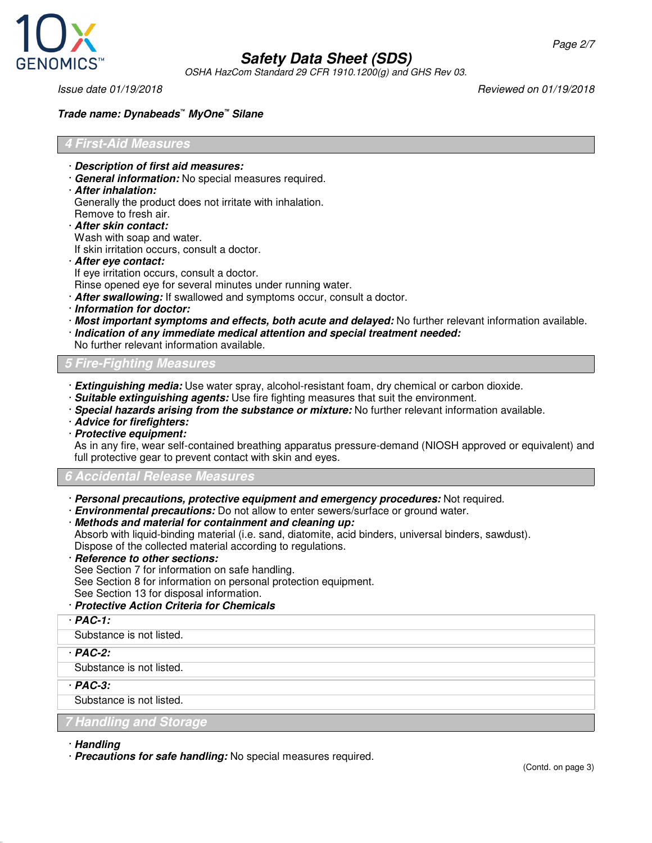

OSHA HazCom Standard 29 CFR 1910.1200(g) and GHS Rev 03.

Issue date 01/19/2018 Reviewed on 01/19/2018

## **Trade name: Dynabeads***™* **MyOne™ Silane**

## **4 First-Aid Measures**

- · **Description of first aid measures:**
- · **General information:** No special measures required.
- · **After inhalation:**

Generally the product does not irritate with inhalation.

- Remove to fresh air.
- · **After skin contact:**

Wash with soap and water.

If skin irritation occurs, consult a doctor.

· **After eye contact:**

If eye irritation occurs, consult a doctor.

Rinse opened eye for several minutes under running water.

- · **After swallowing:** If swallowed and symptoms occur, consult a doctor.
- · **Information for doctor:**
- · **Most important symptoms and effects, both acute and delayed:** No further relevant information available.
- · **Indication of any immediate medical attention and special treatment needed:**
- No further relevant information available.

**5 Fire-Fighting Measures**

- · **Extinguishing media:** Use water spray, alcohol-resistant foam, dry chemical or carbon dioxide.
- · **Suitable extinguishing agents:** Use fire fighting measures that suit the environment.
- · **Special hazards arising from the substance or mixture:** No further relevant information available.
- · **Advice for firefighters:**
- · **Protective equipment:**

As in any fire, wear self-contained breathing apparatus pressure-demand (NIOSH approved or equivalent) and full protective gear to prevent contact with skin and eyes.

## **6 Accidental Release Measures**

· **Personal precautions, protective equipment and emergency procedures:** Not required.

· **Environmental precautions:** Do not allow to enter sewers/surface or ground water.

## · **Methods and material for containment and cleaning up:**

Absorb with liquid-binding material (i.e. sand, diatomite, acid binders, universal binders, sawdust).

Dispose of the collected material according to regulations.

· **Reference to other sections:**

See Section 7 for information on safe handling.

See Section 8 for information on personal protection equipment.

See Section 13 for disposal information.

## · **Protective Action Criteria for Chemicals**

· **PAC-1:**

Substance is not listed.

· **PAC-2:**

Substance is not listed.

· **PAC-3:**

Substance is not listed.

## **7 Handling and Storage**

· **Handling**

· **Precautions for safe handling:** No special measures required.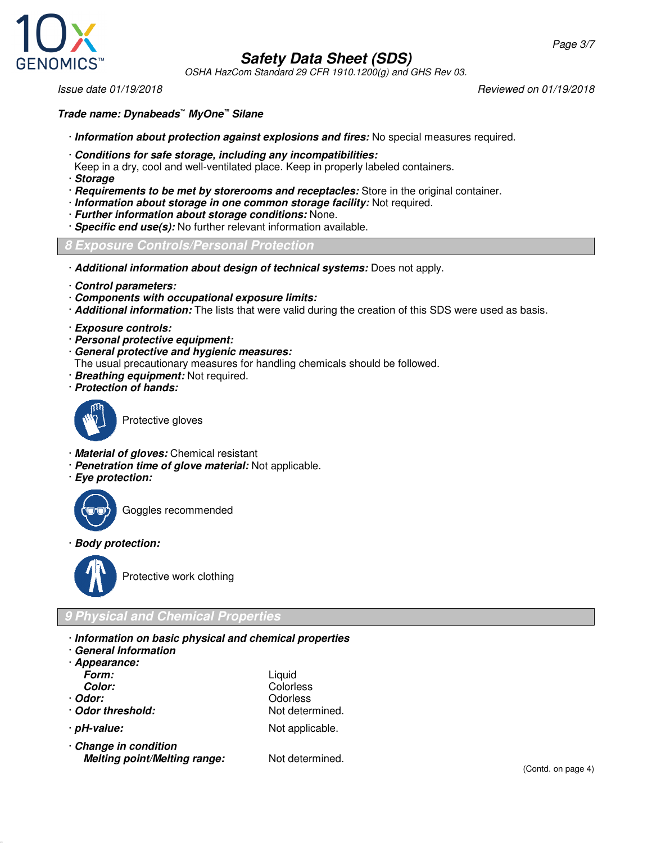



OSHA HazCom Standard 29 CFR 1910.1200(g) and GHS Rev 03.

Issue date 01/19/2018 Reviewed on 01/19/2018

## **Trade name: Dynabeads***™* **MyOne™ Silane**

- · **Information about protection against explosions and fires:** No special measures required.
- · **Conditions for safe storage, including any incompatibilities:**
- Keep in a dry, cool and well-ventilated place. Keep in properly labeled containers.
- · **Storage**
- · **Requirements to be met by storerooms and receptacles:** Store in the original container.
- · **Information about storage in one common storage facility:** Not required.
- · **Further information about storage conditions:** None.
- · **Specific end use(s):** No further relevant information available.

#### **8 Exposure Controls/Personal Protection**

- · **Additional information about design of technical systems:** Does not apply.
- · **Control parameters:**
- · **Components with occupational exposure limits:**
- · **Additional information:** The lists that were valid during the creation of this SDS were used as basis.
- · **Exposure controls:**
- · **Personal protective equipment:**
- · **General protective and hygienic measures:**
- The usual precautionary measures for handling chemicals should be followed.
- · **Breathing equipment:** Not required.
- · **Protection of hands:**



Protective gloves

- · **Material of gloves:** Chemical resistant
- · **Penetration time of glove material:** Not applicable.
- · **Eye protection:**



Goggles recommended

· **Body protection:**



Protective work clothing

# **9 Physical and Chemical Properties**

- · **Information on basic physical and chemical properties**
- · **General Information**
- · **Appearance:**
- **Form:** Liquid **Color:** Colorless
- 
- · **Odor:** Odorless
- 
- · **Odor threshold:** Not determined. **pH-value:** Not applicable.
- · **Change in condition** *Melting point/Melting range:* Not determined.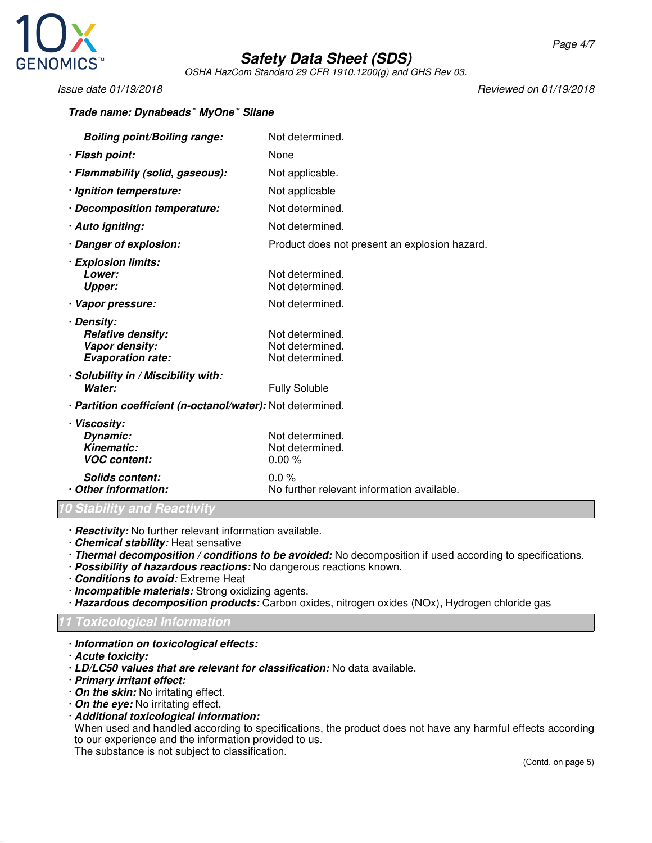

OSHA HazCom Standard 29 CFR 1910.1200(g) and GHS Rev 03.

**Trade name: Dynabeads***™* **MyOne™ Silane**

Issue date 01/19/2018 Reviewed on 01/19/2018

| <b>Boiling point/Boiling range:</b>                                                  | Not determined.                                       |  |
|--------------------------------------------------------------------------------------|-------------------------------------------------------|--|
| · Flash point:                                                                       | None                                                  |  |
| · Flammability (solid, gaseous):                                                     | Not applicable.                                       |  |
| · Ignition temperature:                                                              | Not applicable                                        |  |
| · Decomposition temperature:                                                         | Not determined.                                       |  |
| · Auto igniting:                                                                     | Not determined.                                       |  |
| · Danger of explosion:                                                               | Product does not present an explosion hazard.         |  |
| · Explosion limits:<br>Lower:<br><b>Upper:</b>                                       | Not determined.<br>Not determined.                    |  |
| · Vapor pressure:                                                                    | Not determined.                                       |  |
| · Density:<br><b>Relative density:</b><br>Vapor density:<br><b>Evaporation rate:</b> | Not determined.<br>Not determined.<br>Not determined. |  |
| · Solubility in / Miscibility with:<br>Water:                                        | <b>Fully Soluble</b>                                  |  |
| · Partition coefficient (n-octanol/water): Not determined.                           |                                                       |  |
| · Viscosity:<br>Dynamic:<br><b>Kinematic:</b><br><b>VOC content:</b>                 | Not determined.<br>Not determined.<br>0.00%           |  |
| <b>Solids content:</b><br>Other information:                                         | $0.0\%$<br>No further relevant information available. |  |

**10 Stability and Reactivity**

· **Reactivity:** No further relevant information available.

- · **Chemical stability:** Heat sensative
- · **Thermal decomposition / conditions to be avoided:** No decomposition if used according to specifications.
- · **Possibility of hazardous reactions:** No dangerous reactions known.
- · **Conditions to avoid:** Extreme Heat
- · **Incompatible materials:** Strong oxidizing agents.
- · **Hazardous decomposition products:** Carbon oxides, nitrogen oxides (NOx), Hydrogen chloride gas

#### **11 Toxicological Information**

- · **Information on toxicological effects:**
- · **Acute toxicity:**
- · **LD/LC50 values that are relevant for classification:** No data available.
- · **Primary irritant effect:**
- · **On the skin:** No irritating effect.
- · **On the eye:** No irritating effect.
- · **Additional toxicological information:**

When used and handled according to specifications, the product does not have any harmful effects according to our experience and the information provided to us.

The substance is not subject to classification.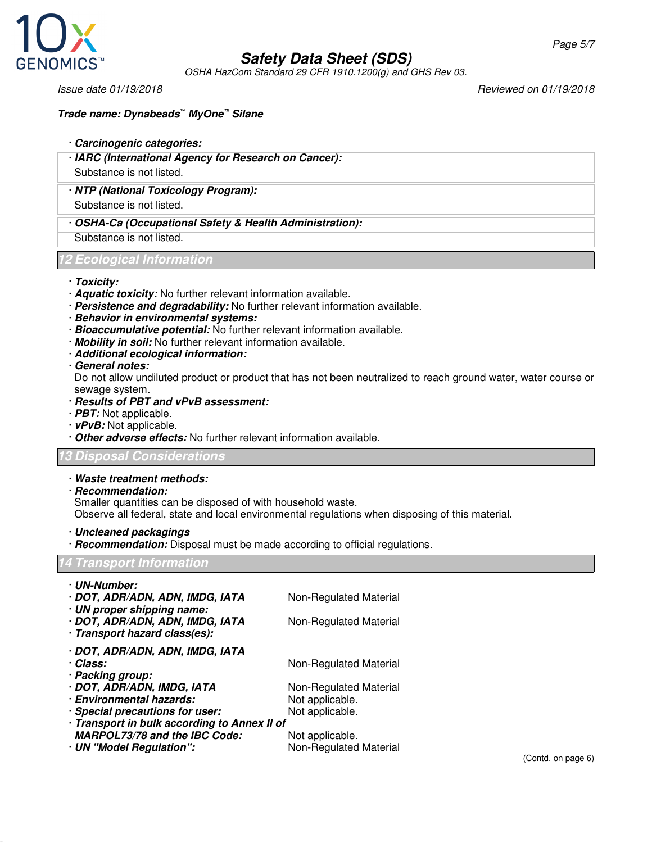

OSHA HazCom Standard 29 CFR 1910.1200(g) and GHS Rev 03.

Issue date 01/19/2018 Reviewed on 01/19/2018

- · **Carcinogenic categories:**
- · **IARC (International Agency for Research on Cancer):**

Substance is not listed.

## · **NTP (National Toxicology Program):**

Substance is not listed.

· **OSHA-Ca (Occupational Safety & Health Administration):**

Substance is not listed.

## **12 Ecological Information**

- · **Toxicity:**
- · **Aquatic toxicity:** No further relevant information available.
- · **Persistence and degradability:** No further relevant information available.
- · **Behavior in environmental systems:**
- · **Bioaccumulative potential:** No further relevant information available.
- · **Mobility in soil:** No further relevant information available.
- · **Additional ecological information:**
- · **General notes:**

Do not allow undiluted product or product that has not been neutralized to reach ground water, water course or sewage system.

- · **Results of PBT and vPvB assessment:**
- · **PBT:** Not applicable.
- · **vPvB:** Not applicable.
- · **Other adverse effects:** No further relevant information available.

## **13 Disposal Considerations**

- · **Waste treatment methods:**
- · **Recommendation:**

Smaller quantities can be disposed of with household waste.

Observe all federal, state and local environmental regulations when disposing of this material.

· **Uncleaned packagings**

· **Recommendation:** Disposal must be made according to official regulations.

## **14 Transport Information**

| · UN-Number:                                 |                        |  |  |
|----------------------------------------------|------------------------|--|--|
| · DOT, ADR/ADN, ADN, IMDG, IATA              | Non-Regulated Material |  |  |
| · UN proper shipping name:                   |                        |  |  |
| · DOT, ADR/ADN, ADN, IMDG, IATA              | Non-Regulated Material |  |  |
| · Transport hazard class(es):                |                        |  |  |
| · DOT, ADR/ADN, ADN, IMDG, IATA              |                        |  |  |
| · Class:                                     | Non-Regulated Material |  |  |
| · Packing group:                             |                        |  |  |
| · DOT, ADR/ADN, IMDG, IATA                   | Non-Regulated Material |  |  |
| · Environmental hazards:                     | Not applicable.        |  |  |
| · Special precautions for user:              | Not applicable.        |  |  |
| · Transport in bulk according to Annex II of |                        |  |  |
| <b>MARPOL73/78 and the IBC Code:</b>         | Not applicable.        |  |  |
| · UN "Model Regulation":                     | Non-Regulated Material |  |  |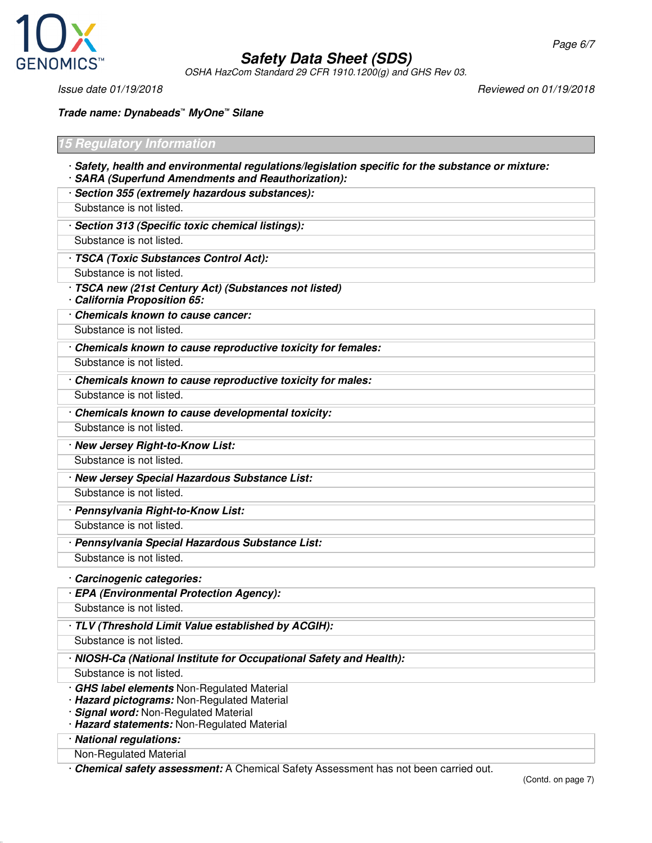

OSHA HazCom Standard 29 CFR 1910.1200(g) and GHS Rev 03.

Page 6/7

#### **Trade name: Dynabeads***™* **MyOne™ Silane**

# **15 Regulatory Information**

- · **Safety, health and environmental regulations/legislation specific for the substance or mixture:** · **SARA (Superfund Amendments and Reauthorization):**
- · **Section 355 (extremely hazardous substances):**
- Substance is not listed.
- · **Section 313 (Specific toxic chemical listings):** Substance is not listed.
- · **TSCA (Toxic Substances Control Act):**
- Substance is not listed.
- · **TSCA new (21st Century Act) (Substances not listed)** · **California Proposition 65:**
- · **Chemicals known to cause cancer:**
- Substance is not listed.
- · **Chemicals known to cause reproductive toxicity for females:**
- Substance is not listed.
- · **Chemicals known to cause reproductive toxicity for males:**
- Substance is not listed.
- · **Chemicals known to cause developmental toxicity:**
- Substance is not listed.
- · **New Jersey Right-to-Know List:** Substance is not listed.
- · **New Jersey Special Hazardous Substance List:**
- Substance is not listed.
- · **Pennsylvania Right-to-Know List:**
- Substance is not listed.
- · **Pennsylvania Special Hazardous Substance List:** Substance is not listed.
- · **Carcinogenic categories:**
- · **EPA (Environmental Protection Agency):**
- Substance is not listed.
- · **TLV (Threshold Limit Value established by ACGIH):**
- Substance is not listed.
- · **NIOSH-Ca (National Institute for Occupational Safety and Health):**
- Substance is not listed.
- · **GHS label elements** Non-Regulated Material
- · **Hazard pictograms:** Non-Regulated Material
- · **Signal word:** Non-Regulated Material
- · **Hazard statements:** Non-Regulated Material
- · **National regulations:**
- Non-Regulated Material
- · **Chemical safety assessment:** A Chemical Safety Assessment has not been carried out.